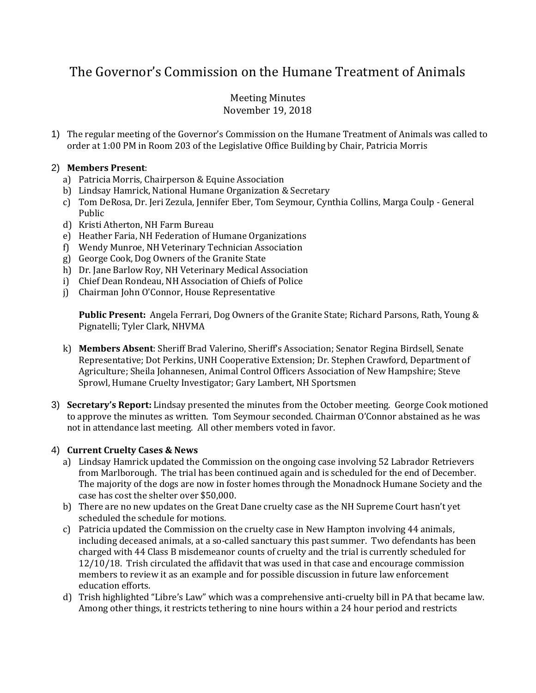# The Governor's Commission on the Humane Treatment of Animals

# Meeting Minutes November 19, 2018

1) The regular meeting of the Governor's Commission on the Humane Treatment of Animals was called to order at 1:00 PM in Room 203 of the Legislative Office Building by Chair, Patricia Morris

# 2) **Members Present**:

- a) Patricia Morris, Chairperson & Equine Association
- b) Lindsay Hamrick, National Humane Organization & Secretary
- c) Tom DeRosa, Dr. Jeri Zezula, Jennifer Eber, Tom Seymour, Cynthia Collins, Marga Coulp General Public
- d) Kristi Atherton, NH Farm Bureau
- e) Heather Faria, NH Federation of Humane Organizations
- f) Wendy Munroe, NH Veterinary Technician Association
- g) George Cook, Dog Owners of the Granite State
- h) Dr. Jane Barlow Roy, NH Veterinary Medical Association
- i) Chief Dean Rondeau, NH Association of Chiefs of Police
- j) Chairman John O'Connor, House Representative

**Public Present:** Angela Ferrari, Dog Owners of the Granite State; Richard Parsons, Rath, Young & Pignatelli; Tyler Clark, NHVMA

- k) **Members Absent**: Sheriff Brad Valerino, Sheriff's Association; Senator Regina Birdsell, Senate Representative; Dot Perkins, UNH Cooperative Extension; Dr. Stephen Crawford, Department of Agriculture; Sheila Johannesen, Animal Control Officers Association of New Hampshire; Steve Sprowl, Humane Cruelty Investigator; Gary Lambert, NH Sportsmen
- 3) **Secretary's Report:** Lindsay presented the minutes from the October meeting. George Cook motioned to approve the minutes as written. Tom Seymour seconded. Chairman O'Connor abstained as he was not in attendance last meeting. All other members voted in favor.

#### 4) **Current Cruelty Cases & News**

- a) Lindsay Hamrick updated the Commission on the ongoing case involving 52 Labrador Retrievers from Marlborough. The trial has been continued again and is scheduled for the end of December. The majority of the dogs are now in foster homes through the Monadnock Humane Society and the case has cost the shelter over \$50,000.
- b) There are no new updates on the Great Dane cruelty case as the NH Supreme Court hasn't yet scheduled the schedule for motions.
- c) Patricia updated the Commission on the cruelty case in New Hampton involving 44 animals, including deceased animals, at a so-called sanctuary this past summer. Two defendants has been charged with 44 Class B misdemeanor counts of cruelty and the trial is currently scheduled for 12/10/18. Trish circulated the affidavit that was used in that case and encourage commission members to review it as an example and for possible discussion in future law enforcement education efforts.
- d) Trish highlighted "Libre's Law" which was a comprehensive anti-cruelty bill in PA that became law. Among other things, it restricts tethering to nine hours within a 24 hour period and restricts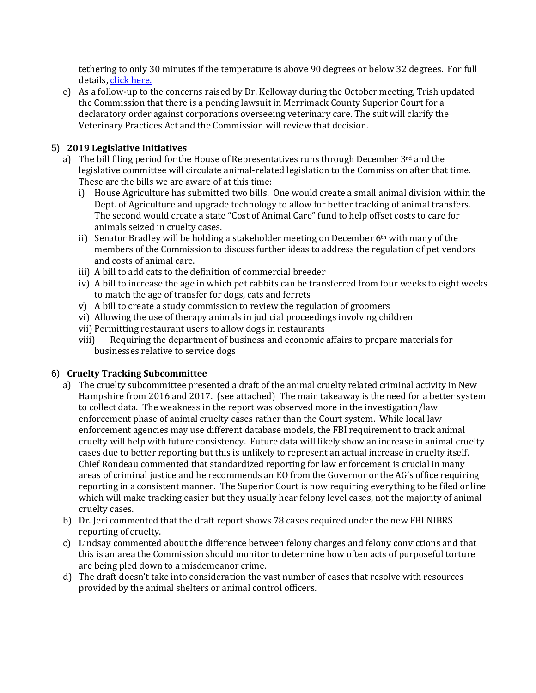tethering to only 30 minutes if the temperature is above 90 degrees or below 32 degrees. For full details, [click here.](https://humane-pa.org/current-legislation-2/fact-sheets-about-pending-bills-2017/comprehensive-animal-cruelty-bill/)

e) As a follow-up to the concerns raised by Dr. Kelloway during the October meeting, Trish updated the Commission that there is a pending lawsuit in Merrimack County Superior Court for a declaratory order against corporations overseeing veterinary care. The suit will clarify the Veterinary Practices Act and the Commission will review that decision.

# 5) **2019 Legislative Initiatives**

- a) The bill filing period for the House of Representatives runs through December  $3<sup>rd</sup>$  and the legislative committee will circulate animal-related legislation to the Commission after that time. These are the bills we are aware of at this time:
	- i) House Agriculture has submitted two bills. One would create a small animal division within the Dept. of Agriculture and upgrade technology to allow for better tracking of animal transfers. The second would create a state "Cost of Animal Care" fund to help offset costs to care for animals seized in cruelty cases.
	- ii) Senator Bradley will be holding a stakeholder meeting on December  $6<sup>th</sup>$  with many of the members of the Commission to discuss further ideas to address the regulation of pet vendors and costs of animal care.
	- iii) A bill to add cats to the definition of commercial breeder
	- iv) A bill to increase the age in which pet rabbits can be transferred from four weeks to eight weeks to match the age of transfer for dogs, cats and ferrets
	- v) A bill to create a study commission to review the regulation of groomers
	- vi) Allowing the use of therapy animals in judicial proceedings involving children
	- vii) Permitting restaurant users to allow dogs in restaurants
	- viii) Requiring the department of business and economic affairs to prepare materials for businesses relative to service dogs

# 6) **Cruelty Tracking Subcommittee**

- a) The cruelty subcommittee presented a draft of the animal cruelty related criminal activity in New Hampshire from 2016 and 2017. (see attached) The main takeaway is the need for a better system to collect data. The weakness in the report was observed more in the investigation/law enforcement phase of animal cruelty cases rather than the Court system. While local law enforcement agencies may use different database models, the FBI requirement to track animal cruelty will help with future consistency. Future data will likely show an increase in animal cruelty cases due to better reporting but this is unlikely to represent an actual increase in cruelty itself. Chief Rondeau commented that standardized reporting for law enforcement is crucial in many areas of criminal justice and he recommends an EO from the Governor or the AG's office requiring reporting in a consistent manner. The Superior Court is now requiring everything to be filed online which will make tracking easier but they usually hear felony level cases, not the majority of animal cruelty cases.
- b) Dr. Jeri commented that the draft report shows 78 cases required under the new FBI NIBRS reporting of cruelty.
- c) Lindsay commented about the difference between felony charges and felony convictions and that this is an area the Commission should monitor to determine how often acts of purposeful torture are being pled down to a misdemeanor crime.
- d) The draft doesn't take into consideration the vast number of cases that resolve with resources provided by the animal shelters or animal control officers.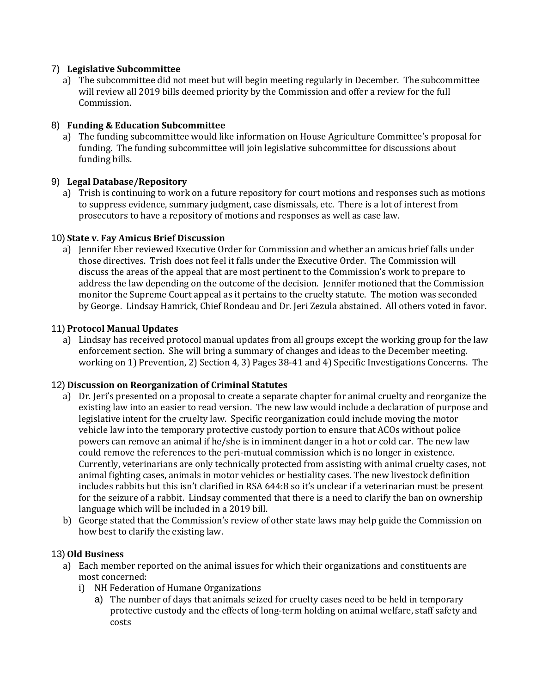# 7) **Legislative Subcommittee**

a) The subcommittee did not meet but will begin meeting regularly in December. The subcommittee will review all 2019 bills deemed priority by the Commission and offer a review for the full Commission.

# 8) **Funding & Education Subcommittee**

a) The funding subcommittee would like information on House Agriculture Committee's proposal for funding. The funding subcommittee will join legislative subcommittee for discussions about funding bills.

# 9) **Legal Database/Repository**

a) Trish is continuing to work on a future repository for court motions and responses such as motions to suppress evidence, summary judgment, case dismissals, etc. There is a lot of interest from prosecutors to have a repository of motions and responses as well as case law.

# 10) **State v. Fay Amicus Brief Discussion**

a) Jennifer Eber reviewed Executive Order for Commission and whether an amicus brief falls under those directives. Trish does not feel it falls under the Executive Order. The Commission will discuss the areas of the appeal that are most pertinent to the Commission's work to prepare to address the law depending on the outcome of the decision. Jennifer motioned that the Commission monitor the Supreme Court appeal as it pertains to the cruelty statute. The motion was seconded by George. Lindsay Hamrick, Chief Rondeau and Dr. Jeri Zezula abstained. All others voted in favor.

# 11) **Protocol Manual Updates**

a) Lindsay has received protocol manual updates from all groups except the working group for the law enforcement section. She will bring a summary of changes and ideas to the December meeting. working on 1) Prevention, 2) Section 4, 3) Pages 38-41 and 4) Specific Investigations Concerns. The

#### 12) **Discussion on Reorganization of Criminal Statutes**

- a) Dr. Jeri's presented on a proposal to create a separate chapter for animal cruelty and reorganize the existing law into an easier to read version. The new law would include a declaration of purpose and legislative intent for the cruelty law. Specific reorganization could include moving the motor vehicle law into the temporary protective custody portion to ensure that ACOs without police powers can remove an animal if he/she is in imminent danger in a hot or cold car. The new law could remove the references to the peri-mutual commission which is no longer in existence. Currently, veterinarians are only technically protected from assisting with animal cruelty cases, not animal fighting cases, animals in motor vehicles or bestiality cases. The new livestock definition includes rabbits but this isn't clarified in RSA 644:8 so it's unclear if a veterinarian must be present for the seizure of a rabbit. Lindsay commented that there is a need to clarify the ban on ownership language which will be included in a 2019 bill.
- b) George stated that the Commission's review of other state laws may help guide the Commission on how best to clarify the existing law.

#### 13) **Old Business**

- a) Each member reported on the animal issues for which their organizations and constituents are most concerned:
	- i) NH Federation of Humane Organizations
		- a) The number of days that animals seized for cruelty cases need to be held in temporary protective custody and the effects of long-term holding on animal welfare, staff safety and costs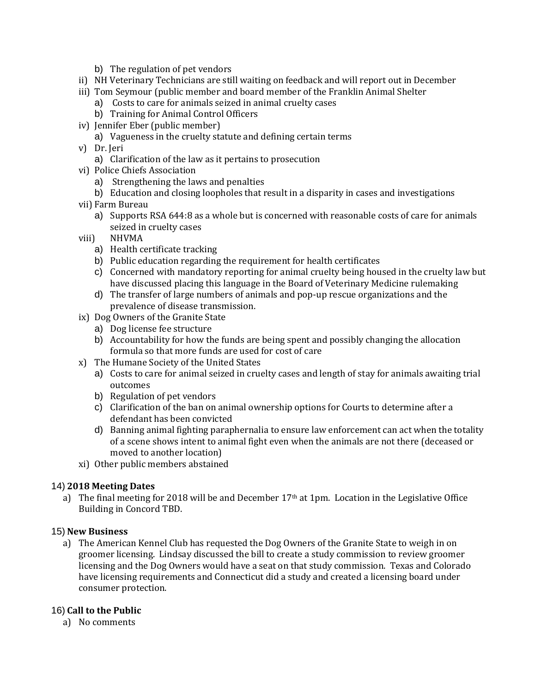- b) The regulation of pet vendors
- ii) NH Veterinary Technicians are still waiting on feedback and will report out in December
- iii) Tom Seymour (public member and board member of the Franklin Animal Shelter
	- a) Costs to care for animals seized in animal cruelty cases
	- b) Training for Animal Control Officers
- iv) Jennifer Eber (public member)
	- a) Vagueness in the cruelty statute and defining certain terms
- v) Dr. Jeri
	- a) Clarification of the law as it pertains to prosecution
- vi) Police Chiefs Association
	- a) Strengthening the laws and penalties
	- b) Education and closing loopholes that result in a disparity in cases and investigations
- vii) Farm Bureau
	- a) Supports RSA 644:8 as a whole but is concerned with reasonable costs of care for animals seized in cruelty cases
- viii) NHVMA
	- a) Health certificate tracking
	- b) Public education regarding the requirement for health certificates
	- c) Concerned with mandatory reporting for animal cruelty being housed in the cruelty law but have discussed placing this language in the Board of Veterinary Medicine rulemaking
	- d) The transfer of large numbers of animals and pop-up rescue organizations and the prevalence of disease transmission.
- ix) Dog Owners of the Granite State
	- a) Dog license fee structure
	- b) Accountability for how the funds are being spent and possibly changing the allocation formula so that more funds are used for cost of care
- x) The Humane Society of the United States
	- a) Costs to care for animal seized in cruelty cases and length of stay for animals awaiting trial outcomes
	- b) Regulation of pet vendors
	- c) Clarification of the ban on animal ownership options for Courts to determine after a defendant has been convicted
	- d) Banning animal fighting paraphernalia to ensure law enforcement can act when the totality of a scene shows intent to animal fight even when the animals are not there (deceased or moved to another location)
- xi) Other public members abstained

#### 14) **2018 Meeting Dates**

a) The final meeting for 2018 will be and December 17<sup>th</sup> at 1pm. Location in the Legislative Office Building in Concord TBD.

#### 15) **New Business**

a) The American Kennel Club has requested the Dog Owners of the Granite State to weigh in on groomer licensing. Lindsay discussed the bill to create a study commission to review groomer licensing and the Dog Owners would have a seat on that study commission. Texas and Colorado have licensing requirements and Connecticut did a study and created a licensing board under consumer protection.

#### 16) **Call to the Public**

a) No comments